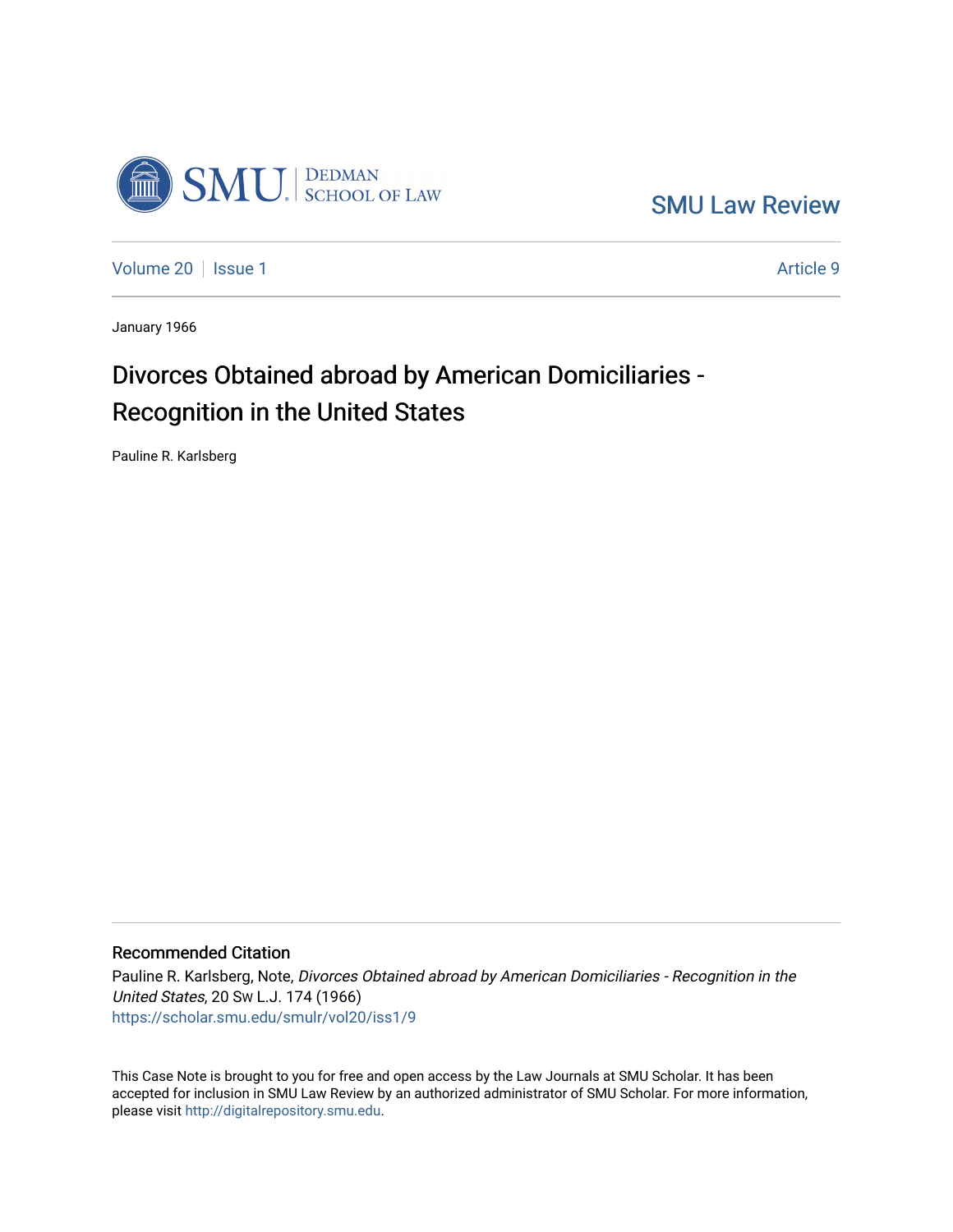

[SMU Law Review](https://scholar.smu.edu/smulr) 

[Volume 20](https://scholar.smu.edu/smulr/vol20) | [Issue 1](https://scholar.smu.edu/smulr/vol20/iss1) Article 9

January 1966

# Divorces Obtained abroad by American Domiciliaries - Recognition in the United States

Pauline R. Karlsberg

# Recommended Citation

Pauline R. Karlsberg, Note, Divorces Obtained abroad by American Domiciliaries - Recognition in the United States, 20 SW L.J. 174 (1966) [https://scholar.smu.edu/smulr/vol20/iss1/9](https://scholar.smu.edu/smulr/vol20/iss1/9?utm_source=scholar.smu.edu%2Fsmulr%2Fvol20%2Fiss1%2F9&utm_medium=PDF&utm_campaign=PDFCoverPages) 

This Case Note is brought to you for free and open access by the Law Journals at SMU Scholar. It has been accepted for inclusion in SMU Law Review by an authorized administrator of SMU Scholar. For more information, please visit [http://digitalrepository.smu.edu.](http://digitalrepository.smu.edu/)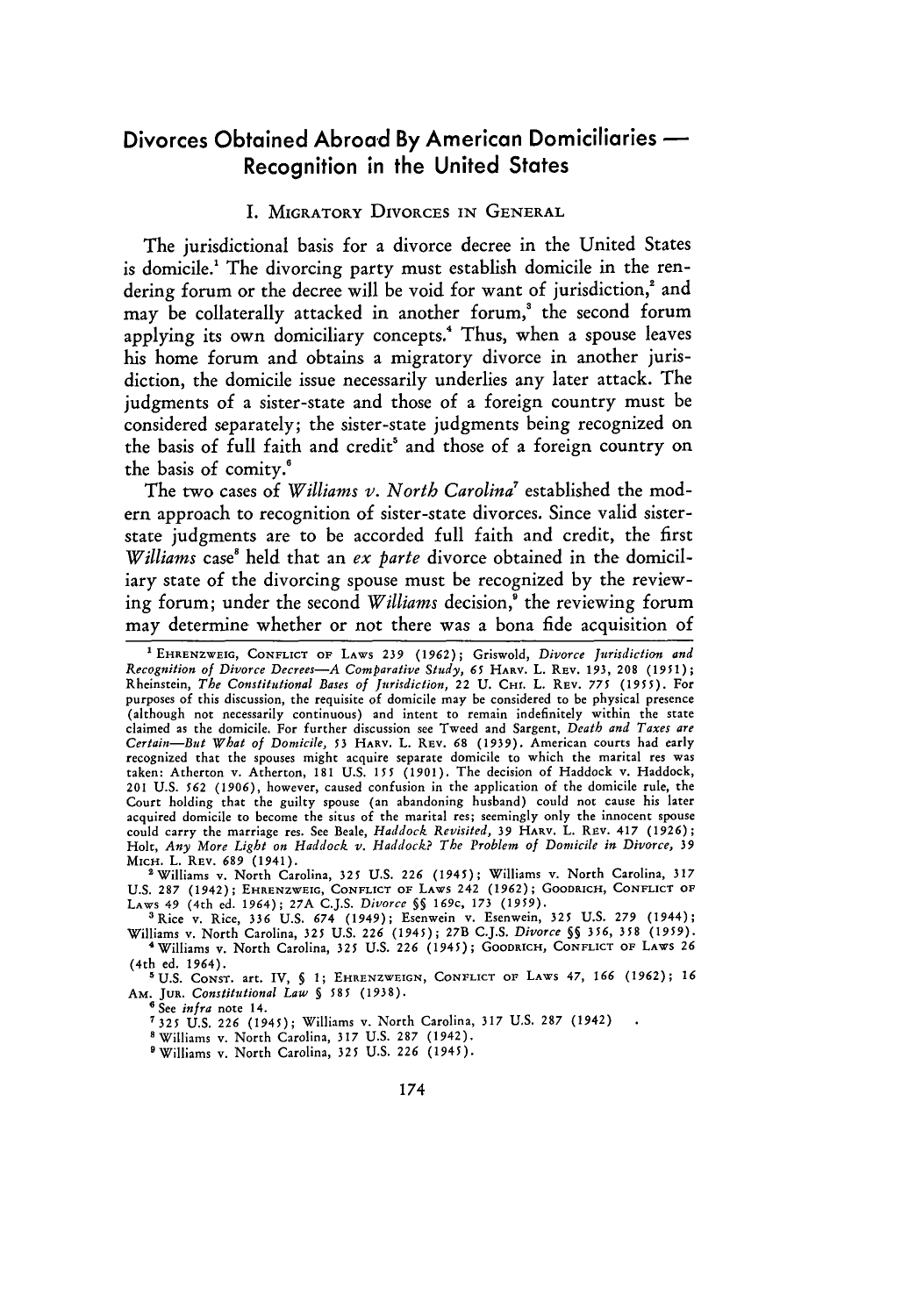# Divorces Obtained Abroad **By** American Domiciliaries Recognition in the United States

#### **I.** MIGRATORY DIVORCES **IN GENERAL**

The jurisdictional basis for a divorce decree in the United States is domicile.<sup>1</sup> The divorcing party must establish domicile in the rendering forum or the decree will be void for want of jurisdiction,<sup>2</sup> and may be collaterally attacked in another forum,' the second forum applying its own domiciliary concepts.<sup>4</sup> Thus, when a spouse leaves his home forum and obtains a migratory divorce in another jurisdiction, the domicile issue necessarily underlies any later attack. The judgments of a sister-state and those of a foreign country must be considered separately; the sister-state judgments being recognized on the basis of full faith and credit' and those of a foreign country on the basis of comity.!

The two cases of *Williams v. North Carolina'* established the modern approach to recognition of sister-state divorces. Since valid sisterstate judgments are to be accorded full faith and credit, the first *Williams* case' held that an *ex parte* divorce obtained in the domiciliary state of the divorcing spouse must be recognized by the reviewing forum; under the second *Williams* decision,' the reviewing forum may determine whether or not there was a bona fide acquisition of

'Williams v. North Carolina, **325** U.S. 226 (1945); Williams v. North Carolina, 317 U.S. 287 (1942); EHRENZWEIG, CONFLICT OF LAWS 242 (1962); GOODRICH, CONFLICT OF LAWS 49 (4th ed. 1964); 27A C.J.S. Divorce §§ 169c, 173 (1959).<br><sup>3</sup> Rice v. Rice, 336 U.S. 674 (1949); Esenwein v. Esenwein, 325 U.S. 279 (194

Williams v. North Carolina, **325** U.S. *226* (1945); 27B C.J.S. *Divorce 5§* 356, 358 (1959). 'Williams v. North Carolina, 325 U.S. **226** (1945); GOODRICH, **CONFLICT** OF LAwS **26** (4th ed. 1964).

'U.S. CONST. art. IV, **§** 1; EHRENZWEIGN, **CONFLICT OF** LAWS 47, **166** (1962); **<sup>16</sup>** AM. **JUR.** *Constitutional Law §* **585** (1938).

**6** See *infra* note 14.

**'325** U.S. **226** (1945); Williams v. North Carolina, 317 **US.** 287 (1942)

<sup>8</sup> Williams v. North Carolina, 317 U.S. 287 (1942)

'Williams v. North Carolina, 325 U.S. **226** (1945).

**<sup>&#</sup>x27;** EHRENZWEIG, **CONFLICT** OF **LAWS** *239* **(1962);** Griswold, *Divorce Jurisdiction and Recognition of Divorce Decrees-A Comparative Study, 65* HARV. L. REV. 193, 208 **(1951);** Rheinstein, *The Constitutional Bases of Jurisdiction,* 22 **U.** CHI. L. REV. 775 (1955). For purposes of this discussion, the requisite **of** domicile may be considered to be physical presence (although not necessarily continuous) and intent to remain indefinitely within the state claimed as the domicile. For further discussion see Tweed and Sargent, *Death and Taxes are Certain-But What of Domicile, 53* HARV. L. REv. **68** (1939). American courts had early recognized that the spouses might acquire separate domicile to which the marital res was taken: Atherton v. Atherton, 181 U.S. *155* (1901). The decision of Haddock v. Haddock, 201 U.S. *562* (1906), however, caused confusion in the application of the domicile rule, the Court holding that the guilty spouse (an abandoning husband) could not cause his later acquired domicile to become the situs of the marital res; seemingly only the innocent spouse could carry the marriage res. See Beale, *Haddock Revisited,* **39 HARV.** L. REv. 417 **(1926);** Holt, *Any More Light on Haddock v. Haddock? The Problem of Domicile in Divorce, 39* MICH. L. REV. *689* (1941).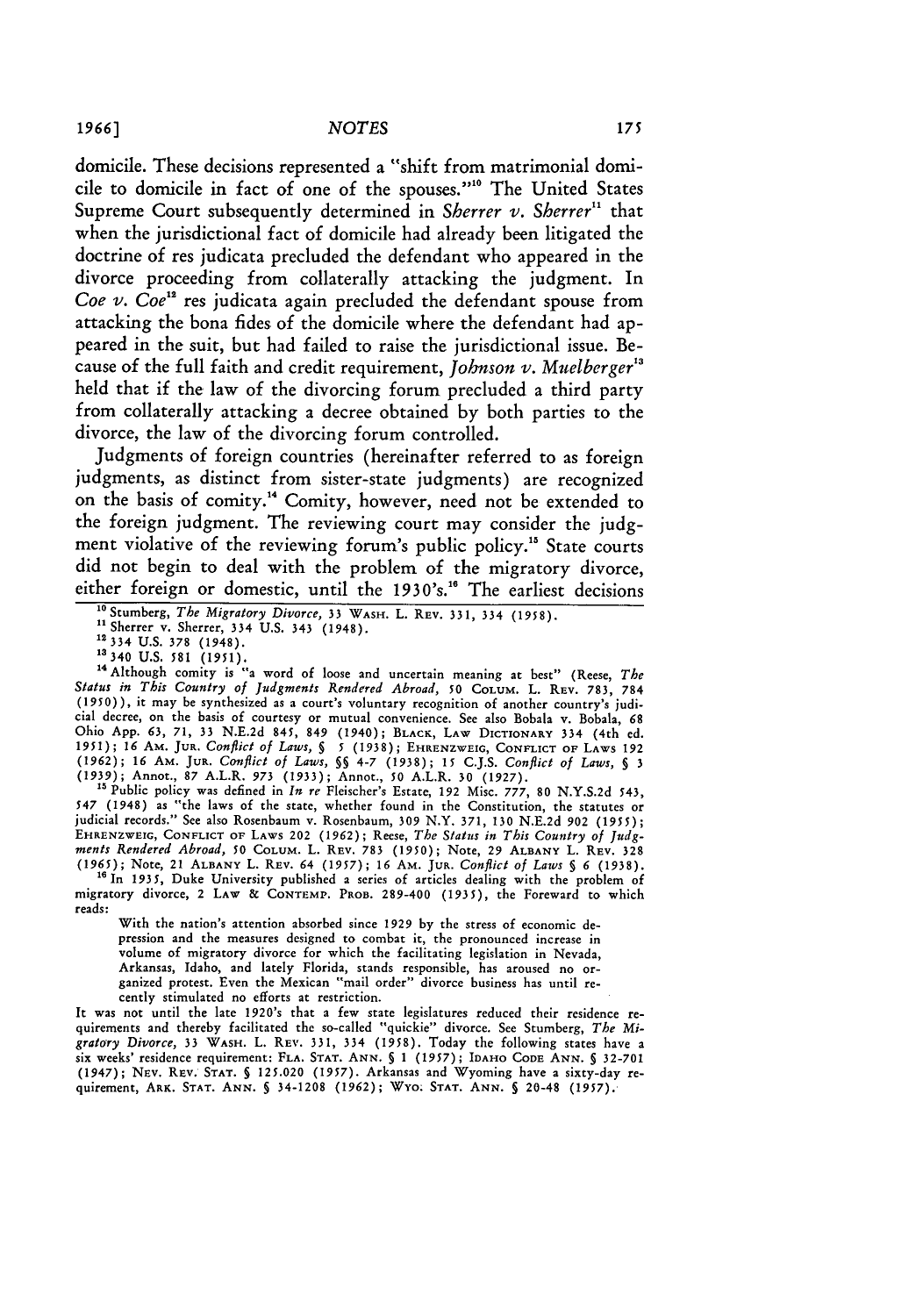domicile. These decisions represented a "shift from matrimonial domicile to domicile in fact of one of the spouses.""0 The United States Supreme Court subsequently determined in *Sherrer v. Sherrer*<sup>11</sup> that when the jurisdictional fact of domicile had already been litigated the doctrine of res judicata precluded the defendant who appeared in the divorce proceeding from collaterally attacking the judgment. In *Coe v. Coe<sup>1</sup> "* res judicata again precluded the defendant spouse from attacking the bona fides of the domicile where the defendant had appeared in the suit, but had failed to raise the jurisdictional issue. Because of the full faith and credit requirement, *Johnson v. Muelberger*<sup>13</sup> held that if the law of the divorcing forum precluded a third party from collaterally attacking a decree obtained **by** both parties to the divorce, the law of the divorcing forum controlled.

Judgments of foreign countries (hereinafter referred to as foreign judgments, as distinct from sister-state judgments) are recognized on the basis of comity."4 Comity, however, need not be extended to the foreign judgment. The reviewing court may consider the **judg**ment violative of the reviewing forum's public policy.<sup>15</sup> State courts did not begin to deal with the problem of the migratory divorce, either foreign or domestic, until the 1930's.<sup>16</sup> The earliest decisions

<sup>14</sup> Although comity is "a word of loose and uncertain meaning at best" (Reese, *The Status in This Country of Judgments Rendered Abroad, 50* COLUM. L. REV. **783,** 784 (1950)), it may be synthesized as a court's voluntary recognition of another country's judicial decree, on the basis of courtesy or mutual convenience. See also Bobala v. Bobala, 68 Ohio App. *63,* **71, 33** N.E.2d 845, 849 (1940); **BLACK,** LAW DICTIONARY 334 (4th ed. *1951); 16* AM. **JuR.** *Conflict of Laws, § 5* **(1938);** EHRENZWEIG, CONFLICT **OF LAWS 192 (1962);** 16 AM. **JUR.** *Conflict of Laws,* **§§** 4-7 (1938); 15 C.J.S. *Conflict of Laws, §* 3 (1939); Annot., **87** A.L.R. **973** (1933); Annot., **50** A.L.R. **30** (1927).

**"** Public policy was defined in *In re* Fleischer's Estate, 192 Misc. **777, 80** N.Y.S.2d 543, *547* (1948) as "the laws of the state, whether found in the Constitution, the statutes or judicial records." See also Rosenbaum v. Rosenbaum, **309** N.Y. 371, **130** N.E.2d **902** (1955); EHRENZWEIG, CONFLICT OF **LAWS** 202 **(1962);** Reese, *The Status in This Country of Judg-ments Rendered Abroad, 50* COLUM. L. REV. 783 **(1950);** Note, **29** ALBANY L. REV. **328 (1965);** Note, 21 **ALBANY** L. REV. 64 *(1957);* **16 AM.** JuR. *Conflict of Laws § 6* **(1938).**

<sup>16</sup> In 1935, Duke University published a series of articles dealing with the problem of migratory divorce, 2 **LAW &** CONTEMI'. PROB. 289-400 (1935), the Foreward to which reads:

With the nation's attention absorbed since **1929** by the stress of economic depression and the measures designed to combat it, the pronounced increase in volume of migratory divorce for which the facilitating legislation in Nevada, Arkansas, Idaho, and lately Florida, stands responsible, has aroused no or-<br>ganized protest. Even the Mexican "mail order" divorce business has until recently stimulated no efforts at restriction.

It was not until the late 1920's that a few state legislatures reduced their residence re-<br>quirements and thereby facilitated the so-called "quickie" divorce. See Stumberg, The Mi-<br>gratory Divorce, 33 WASH. L. REV. 331, 33 six weeks' residence requirement: FLA. **STAT.** ANN. **§** 1 (1957); IDAHO **CODE ANN.** § 32-701 (1947); Nuv. REV. **STAT.** § 125.020 *(1957).* Arkansas and Wyoming have a sixty-day requirement, ARK. **STAT. ANN. §** 34-1208 **(1962);** WYO; STAT. ANN. **§** 20-48 (1957).

<sup>&</sup>lt;sup>10</sup> Stumberg, *The Migratory Divorce*, 33 WASH. L. REV. 331, 334 (1958).

<sup>&</sup>quot; Sherrer v. Sherrer, 334 **U.S.** 343 (1948). **"I3 <sup>3</sup> <sup>4</sup>U.S. 378** (1948).

<sup>12 334</sup> U.S. 378 (1948).<br><sup>13</sup> 340 U.S. 581 (1951).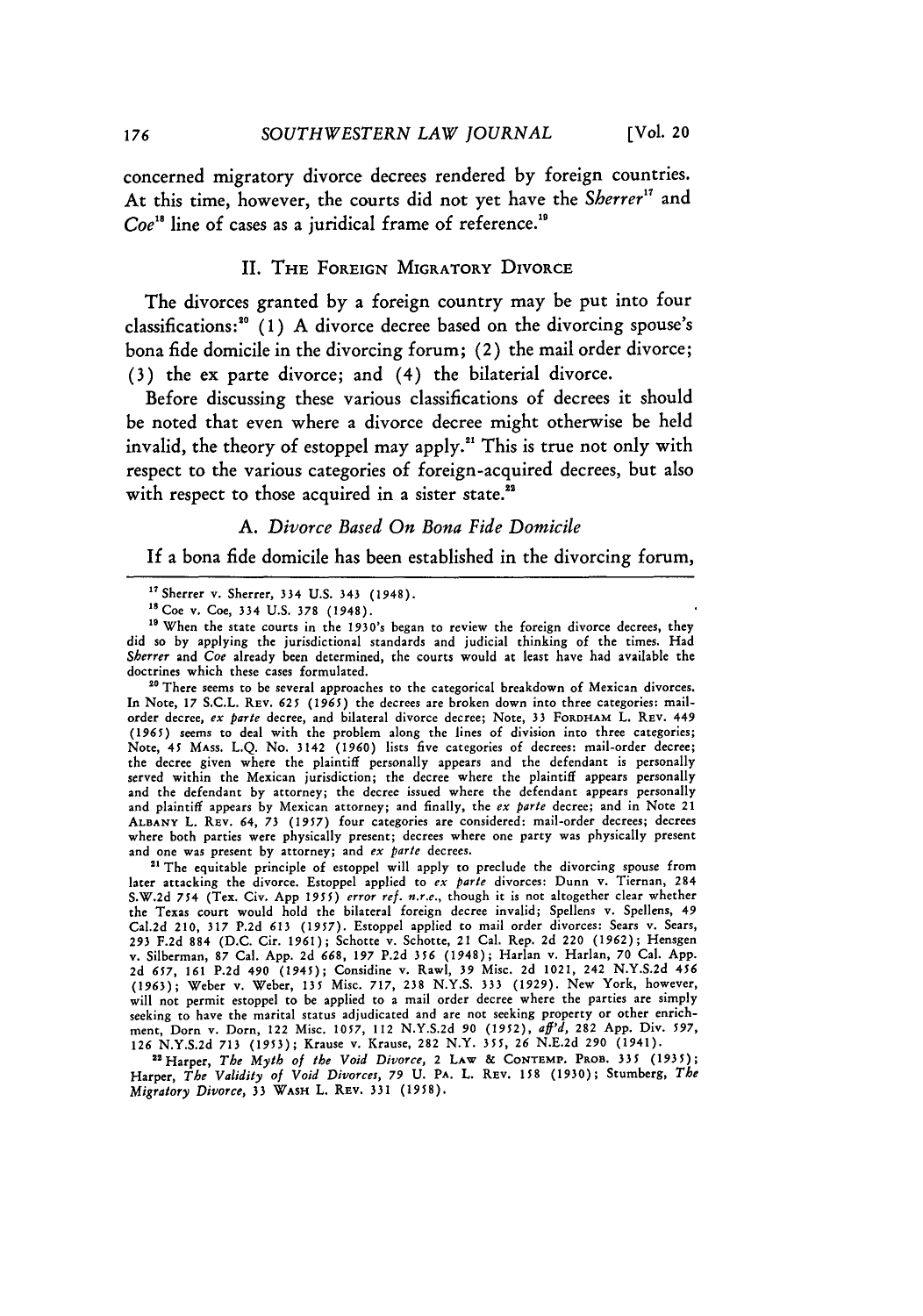concerned migratory divorce decrees rendered **by** foreign countries. At this time, however, the courts did not yet have the *Sherrer<sup>17</sup>* and  $Coe^{18}$  line of cases as a juridical frame of reference.<sup>19</sup>

#### II. THE **FOREIGN** MIGRATORY DIVORCE

The divorces granted **by** a foreign country may be put into four classifications:"0 **(1) A** divorce decree based on the divorcing spouse's bona fide domicile in the divorcing forum; (2) the mail order divorce; **(3)** the ex parte divorce; and (4) the bilaterial divorce.

Before discussing these various classifications of decrees it should be noted that even where a divorce decree might otherwise be held invalid, the theory of estoppel may apply."' This is true not only with respect to the various categories of foreign-acquired decrees, but also with respect to those acquired in a sister state.<sup>22</sup>

# *A. Divorce Based On Bona Fide Domicile*

If a bona fide domicile has been established in the divorcing forum,

**so** There seems to **be** several approaches to the categorical breakdown of Mexican divorces. In Note, **17** S.C.L. REV. 625 (1965) the decrees are broken down into three categories: mailorder decree, *ex parte* decree, and bilateral divorce decree; Note, **33 FORDHAM** L. REV. 449 (1965) seems to deal with the problem along the lines of division into three categories; Note, 45 MAss. L.Q. No. 3142 (1960) lists five categories of decrees: mail-order decree; the decree given where the plaintiff personally appears and the defendant is personally served within the Mexican jurisdiction; the decree where the plaintiff appears personally and the defendant by attorney; the decree issued where the defendant appears personally and plaintiff appears by Mexican attorney; and finally, the *ex parte* decree; and in Note 21 **ALBANY** L. REv. 64, *73 (1957)* four categories are considered: mail-order decrees; decrees where both parties were physically present; decrees where one party was physically present and one was present by attorney; and *ex parte* decrees.

<sup>21</sup> The equitable principle of estoppel will apply to preclude the divorcing spouse from later attacking the divorce. Estoppel applied to *ex pare* divorces: Dunn v. Tiernan, 284 S.W.2d *754* (Tex. Civ. **App** *1955) error ref. n.r.e.,* though it is not altogether clear whether the Texas court would hold the bilateral foreign decree invalid; Spellens v. Spellens, 49 Cal.2d 210, **317** P.2d **613** (1957). Estoppel applied to mail order divorces: Sears v. Sears, **293** F.2d **884** (D.C. Cir. 1961); Schotte v. Schotte, 21 Cal. Rep. 2d 220 (1962); Hensgen v. Silberman, **87** Cal. App. 2d 668, *197* P.2d 356 (1948); Harlan v. Harlan, 70 Cal. App. 2d *657,* **161** P.2d 490 (1945); Considine v. Rawl, **39** Misc. 2d 1021, 242 N.Y.S.2d 456 (1963); Weber v. Weber, **135** Misc. **717, 238** N.Y.S. **333** (1929). New York, however, will not permit estoppel to be applied to a mail order decree where the parties are simply seeking to have the marital status adjudicated and are not seeking property or other enrichseeking to have the marital status adjudicated and are not seeking property or other enrichment, Dorn v. Dorn, 122 Misc. 1057, 112 N.Y.S.2d 90 (1952), aff'd, 282 App. Div. 597<br>126 N.Y.S.2d 713 (1953); Krause v. Krause, 282

Harper, *The Validity of Void Divorces, 79* **U.** PA. L. REV. **158 (1930);** Stumberg, *The Migratory Divorce,* 33 **WAsH** L. REv. **331 (1958).**

<sup>&</sup>quot; Sherrer v. Sherrer, 334 **U.S.** 343 (1948).

<sup>1</sup> <sup>8</sup> Coe *v.* Coe, 334 U.S. **378** (1948).

**<sup>19</sup>** When the state courts in the 1930's began to review the foreign divorce decrees, they did so by applying the jurisdictional standards and judicial thinking of the times. Had *Sherrer* and *Coe* already been determined, the courts would at least have had available the doctrines which these cases formulated.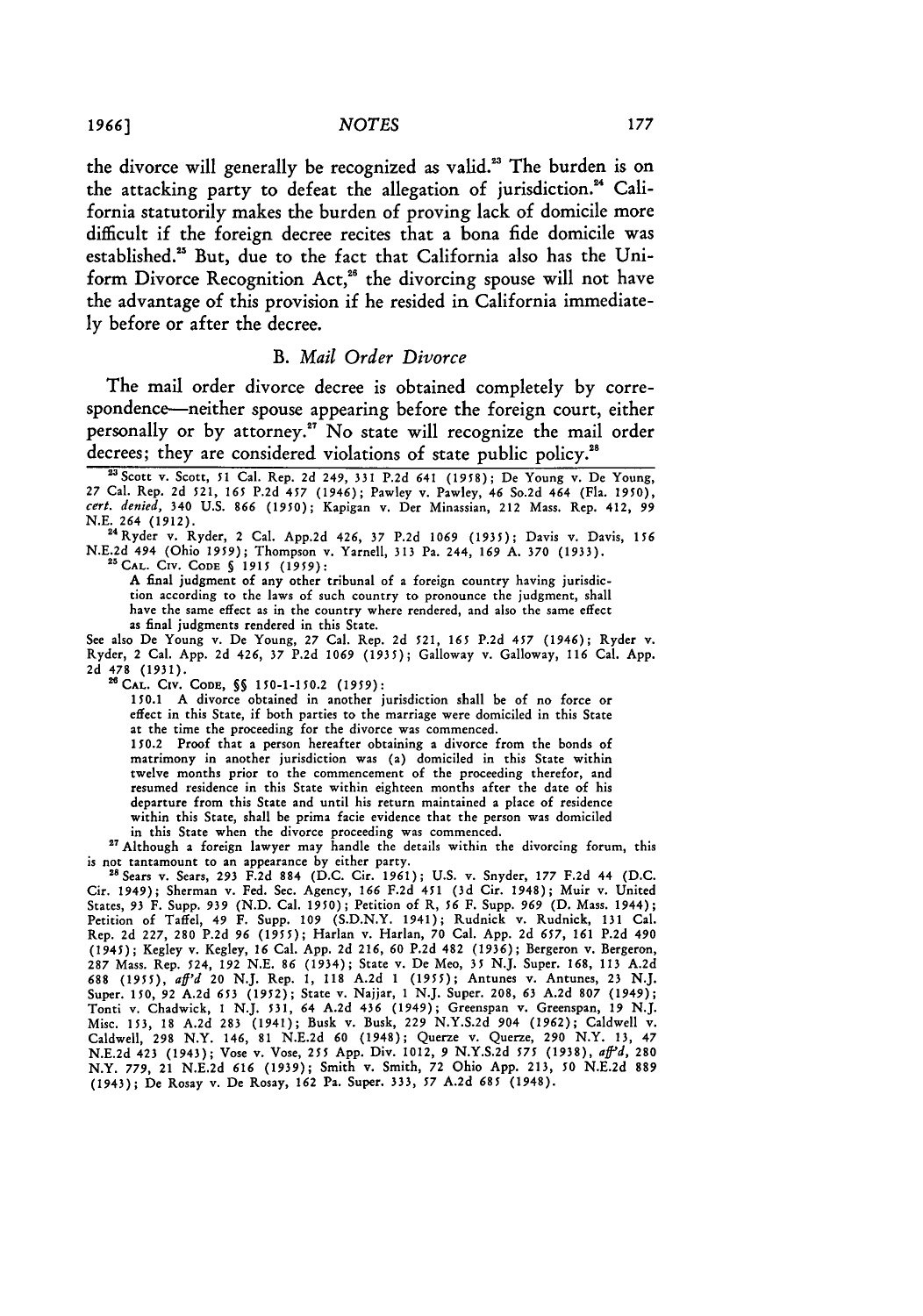the divorce will generally be recognized as valid.<sup>23</sup> The burden is on the attacking party to defeat the allegation of jurisdiction.<sup>24</sup> California statutorily makes the burden of proving lack of domicile more difficult if the foreign decree recites that a bona fide domicile was established.<sup>25</sup> But, due to the fact that California also has the Uniform Divorce Recognition Act,<sup>26</sup> the divorcing spouse will not have the advantage of this provision if he resided in California immediately before or after the decree.

#### *B. Mail Order Divorce*

The mail order divorce decree is obtained completely by correspondence-neither spouse appearing before the foreign court, either personally or by attorney."' No state will recognize the mail order decrees; they are considered violations of state public policy.<sup>28</sup>

'Scott v. Scott, **51** Cal. Rep. **2d** 249, **331 P.2d** 641 **(1958);** De Young v. De Young, **27** Cal. Rep. 2d 521, **165** P.2d 457 (1946); Pawley v. Pawley, 46 So.2d 464 (Fla. 1950), *cert. denied,* 340 U.S. **866** (1950); Kapigan v. Der Minassian, 212 Mass. Rep. 412, **99** N.E. *264* (1912). <sup>24</sup> Ryder v. Ryder, 2 Cal. App.2d 426, **37** P.2d **1069** (1935); Davis v. Davis, **<sup>156</sup>**

N.E.2d 494 (Ohio **1959);** Thompson v. Yarnell, 313 Pa. 244, **169** A. **370** (1933). <sup>25</sup> CAL. CIv. **CODE §** 1915 **(1959):**

A final judgment of any other tribunal of a foreign country having jurisdiction according to the laws of such country to pronounce the judgment, shall have the same effect as in the country where rendered, and also the same effect as final judgments rendered in this State.

See also De Young v. De Young, **27** Cal. Rep. 2d 521, **165 P.2d** 457 (1946); Ryder v. Ryder, 2 Cal. App. 2d 426, **37** P.2d **1069** (1935); Galloway v. Galloway, **116** Cal. App. 2d 478 **(1931). "CAL.** Civ. **CODE, §§** 150-1-150.2 **(1959):**

150.1 A divorce obtained in another jurisdiction shall be of no force or effect in this State, if both parties to the marriage were domiciled in this State at the time the proceeding for the divorce was commenced.

150.2 Proof that a person hereafter obtaining a divorce from the bonds of matrimony in another jurisdiction was (a) domiciled in this State within twelve months prior to the commencement of the proceeding therefor, and resumed residence in this State within eighteen months after the date of his departure from this State and until his return maintained a place of residence within this State, shall be prima facie evidence that the person was domiciled in this State when the divorce proceeding was commenced.

27 Although a foreign lawyer may handle the details within the divorcing forum, this is not tantamount to an appearance by either party. "SSears v. Sears, **293** F.2d 884 (D.C. Cir. 1961); U.S. v. Snyder, **177** F.2d 44 (D.C.

Cir. 1949); Sherman v. Fed. Sec. Agency, 166 F.2d 451 (3d Cir. 1948); Muir v. United<br>States, 93 F. Supp. 939 (N.D. Cal. 1950); Petition of R, 56 F. Supp. 969 (D. Mass. 1944);<br>Petition of Taffel, 49 F. Supp. 109 (S.D.N.Y. 1 Rep. 2d 227, **280** P.2d **96 (1955);** Harlan v. Harlan, **70** Cal. App. 2d *657,* **161** P.2d 490 (1945); Kegley v. Kegley, **16** Cal. App. 2d 216, **60** P.2d 482 **(1936);** Bergeron v. Bergeron, 287 Mass. Rep. 524, 192 N.E. 86 (1934); State v. De Meo, 35 N.J. Super. 168, 113 A.2d **688** (1955), *aff'd* 20 N.J. Rep. **1,** 118 A.2d 1 **(1955);** Antunes v. Antunes, 23 N.J. Super. 150, 92 A.2d 653 (1952); State v. Najjar, 1 N.J. Super. 208, 63 A.2d 807 (1949);<br>Tonti v. Chadwick, 1 N.J. 531, 64 A.2d 436 (1949); Greenspan v. Greenspan, 19 N.J.<br>Misc. 153, 18 A.2d 283 (1941); Busk v. Busk, 229 N. Caldwell, **298** N.Y. 146, 81 N.E.2d **60** (1948); Querze v. Querze, **290** N.Y. **13,** 47 N.E.2d 423 (1943); Vose v. Vose, **255** App. Div. 1012, **9** N.Y.S.2d **575** (1938), *af'd,* <sup>280</sup> N.Y. **779,** 21 N.E.2d 616 (1939); Smith v. Smith, **72** Ohio App. 213, **50** N.E.2d **889** (1943); De Rosay v. De Rosay, **162** Pa. Super. **333, 57 A.2d** *685* (1948).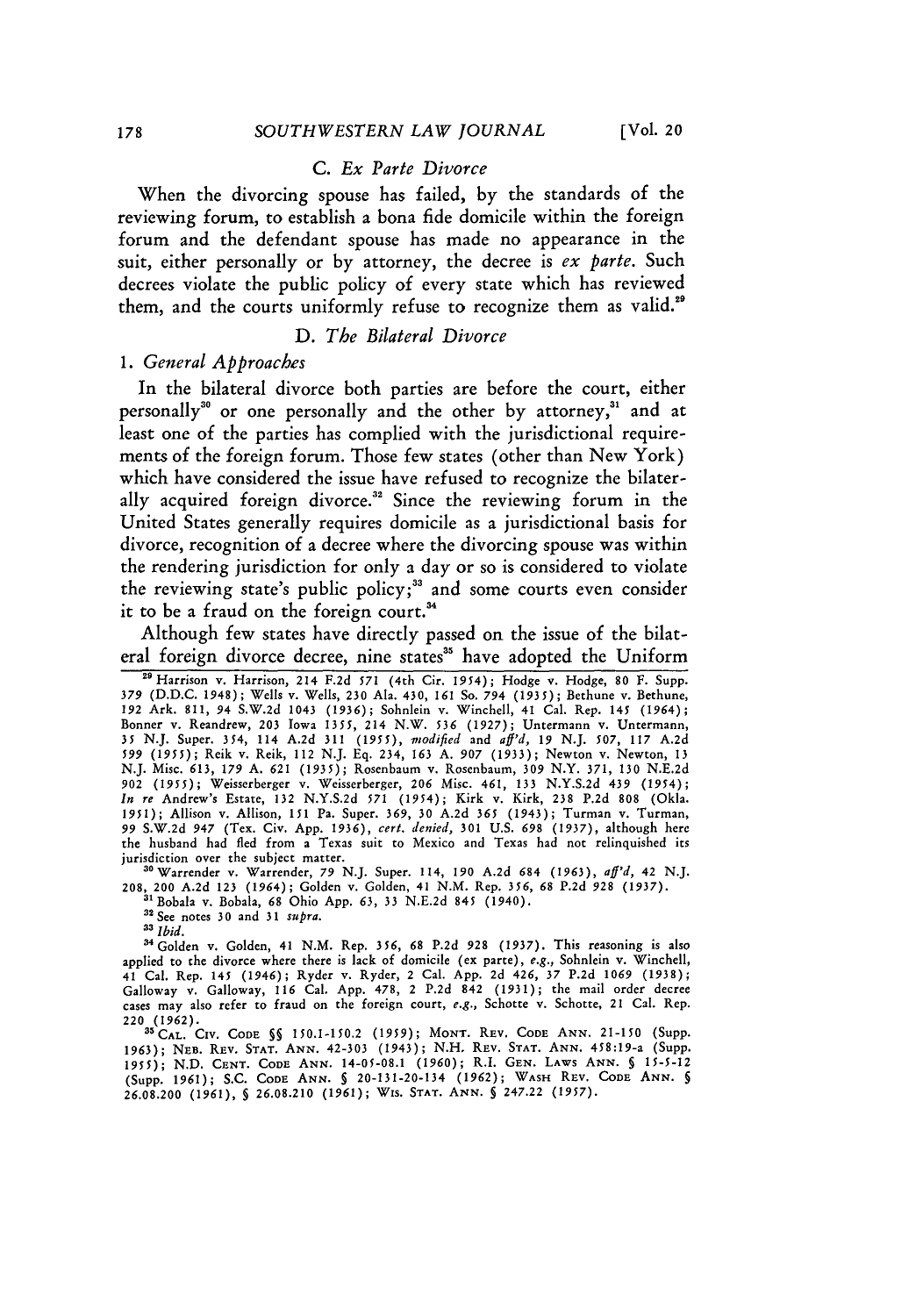# **C.** *Ex Parte Divorce*

When the divorcing spouse has failed, by the standards of the reviewing forum, to establish a bona fide domicile within the foreign forum and the defendant spouse has made no appearance in the suit, either personally or by attorney, the decree is *ex parte.* Such decrees violate the public policy of every state which has reviewed them, and the courts uniformly refuse to recognize them as valid.<sup>29</sup>

#### *D. The Bilateral Divorce*

#### *1. General Approaches*

In the bilateral divorce both parties are before the court, either personally" or one personally and the other by attorney," and at least one of the parties has complied with the jurisdictional requirements of the foreign forum. Those few states (other than New York) which have considered the issue have refused to recognize the bilaterally acquired foreign divorce.<sup>32</sup> Since the reviewing forum in the United States generally requires domicile as a jurisdictional basis for divorce, recognition of a decree where the divorcing spouse was within the rendering jurisdiction for only a day or so is considered to violate the reviewing state's public policy;<sup>33</sup> and some courts even consider it to be a fraud on the foreign court.<sup>34</sup>

Although few states have directly passed on the issue of the bilateral foreign divorce decree, nine states<sup>35</sup> have adopted the Uniform

**"** Harrison v. Harrison, 214 F.2d *571* (4th Cir. 1954); Hodge v. Hodge, **80 F.** Supp. 379 (D.D.C. 1948); Wells v. Wells, **230** Ala. 430, **161** So. 794 **(1935);** Bethune v. Bethune, **192** Ark. 811, 94 S.W.2d 1043 **(1936);** Sohnlein v. Winchell, 41 Cal. Rep. 145 (1964); Bonner v. Reandrew, 203 Iowa 1355, 214 N.W. 536 (1927); Untermann v. Untermann,<br>35 N.J. Super. 354, 114 A.2d 311 (1955), *modified* and *aff'd*, 19 N.J. 507, 117 A.2d<br>599 (1955); Reik v. Reik, 112 N.J. Eq. 234, 163 A. 907 N.J. Misc. 613, 179 A. *621* (1935); Rosenbaum v. Rosenbaum, 309 N.Y. 371, 130 N.E.2d *902* (1955); Weisserberger v. Weisserberger, 206 Misc. 461, **133** N.Y.S.2d 439 (1954); *In re* Andrew's Estate, 132 N.Y.S.2d *571* (1954); Kirk v. Kirk, 238 P.2d 808 (Okla. 1951); Allison v. Allison, 151 Pa. Super. **369, 30** A.2d **365** (1943); Turman v. Turman, 99 S.W.2d 947 (Tex. Civ. App. 1936), *cert. denied,* **301** U.S. *698* (1937), although here the husband had fled from a Texas suit to Mexico and Texas had not relinquished its jurisdiction over the subject matter.<br><sup>30</sup> Warrender v. Warrender, 79 N.J. Super. 114, 190 A.2d 684 (1963), *aff'd*, 42 N.J.

208, 200 A.2d 123 (1964); Golden v. Golden, 41 N.M. Rep. **356, 68** P.2d 928 (1937). 31Bobala v. Bobala, **68** Ohio App. *63,* 33 N.E.2d 845 (1940). 32 See notes **30** and 31 *supra.*

<sup>32</sup> See notes 30 and 31 supra.<br><sup>33</sup> Ibid.

a'Golden v. Golden, 41 N.M. Rep. **356, 68** P.2d **928** (1937). This reasoning is also applied to the divorce where there is lack of domicile (ex parte), *e.g.,* Sohnlein v. Winchell, 41 Cal. Rep. 145 (1946); Ryder v. Ryder, 2 Cal. App. 2d 426, 37 P.2d **1069** (1938); Galloway v. Galloway, **116** Cal. App. 478, 2 P.2d 842 (1931); the mail order decree cases may also refer to fraud on the foreign court, *e.g.,* Schotte v. Schotte, 21 Cal. Rep.

<sup>220</sup>**(1962). <sup>3</sup> CAL.** CIV. CODE **§§ 150.1-150.2** (1959); **MONT.** REV. CODE ANN. **21-150** (Supp. 1963); **NEB.** REV. **STAT. ANN.** 42-303 (1943); N.H. REV. **STAT. ANN.** 458:19-a (Supp. **1955);** N.D. CENT. **CODE ANN.** 14-05-08.1 (1960); R.I. **GEN.** LAWS **ANN.** *§* 15-5-12 (Supp. 1961); S.C. CODE **ANN. §** 20-131-20-134 (1962); WASH REV. **CODE ANN.** *5* 26.08.200 (1961), *§* 26.08.210 **(1961);** WIs. **STAT. ANN. §** 247.22 (1957).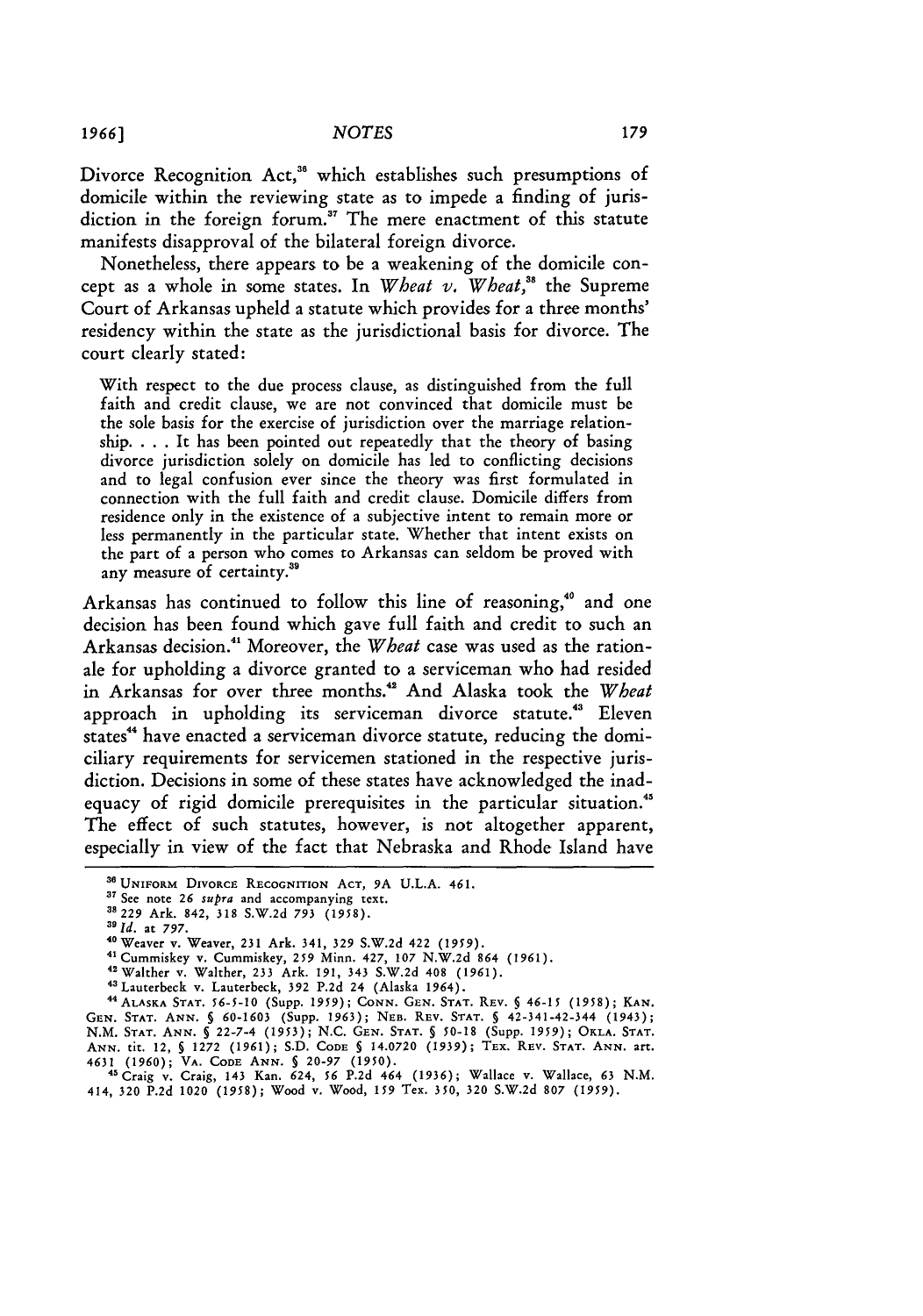Divorce Recognition Act,<sup>36</sup> which establishes such presumptions of domicile within the reviewing state as to impede a finding of jurisdiction in the foreign forum.<sup>37</sup> The mere enactment of this statute manifests disapproval of the bilateral foreign divorce.

Nonetheless, there appears to be a weakening of the domicile concept as a whole in some states. In *Wheat v. Wheat,"'* the Supreme Court of Arkansas upheld a statute which provides for a three months' residency within the state as the jurisdictional basis for divorce. The court clearly stated:

With respect to the due process clause, as distinguished from the full faith and credit clause, we are not convinced that domicile must be the sole basis for the exercise of jurisdiction over the marriage relationship. . . . It has been pointed out repeatedly that the theory of basing divorce jurisdiction solely on domicile has led to conflicting decisions and to legal confusion ever since the theory was first formulated in connection with the full faith and credit clause. Domicile differs from residence only in the existence of a subjective intent to remain more or less permanently in the particular state. Whether that intent exists on the part of a person who comes to Arkansas can seldom be proved with any measure of certainty.<sup>35</sup>

Arkansas has continued to follow this line of reasoning," and one decision has been found which gave full faith and credit to such an Arkansas decision.41 Moreover, the *Wheat* case was used as the rationale for upholding a divorce granted to a serviceman who had resided in Arkansas for over three months.' And Alaska took the *Wheat* approach in upholding its serviceman divorce statute.<sup>43</sup> Eleven states" have enacted a serviceman divorce statute, reducing the domiciliary requirements for servicemen stationed in the respective jurisdiction. Decisions in some of these states have acknowledged the inadequacy of rigid domicile prerequisites in the particular situation.<sup>45</sup> The effect of such statutes, however, is not altogether apparent, especially in view of the fact that Nebraska and Rhode Island have

44ALASKA **STAT. 56-5-10** (Supp. 1959); **CONN. GEN. STAT.** REV. **§** 46-15 (1958); **KAN. GEN. STAT. ANN.** *§* **60-1603** (Supp. 1963); **NEB.** REV. STAT. **§** 42-341-42-344 (1943); **N.M. STAT. ANN. §** 22-7-4 **(1953);** N.C. **GEN. STAT. §** 50-18 (Supp. *1959);* OKLA. **STAT.** ANN. tit. 12, § 1272 (1961); S.D. CODE § 14.0720 (1939); TEX. REV. STAT. ANN. art.<br>4631 (1960); VA. CODE ANN. § 20-97 (1950).<br><sup>45</sup> Craig v. Craig, 143 Kan. 624, 56 P.2d 464 (1936); Wallace v. Wallace, 63 N.M.

*1966)*

**<sup>&#</sup>x27;** UNIFORM DIVORCE RECOGNITION ACT, **9A U.L.A.** 461.

**<sup>37</sup>**See note *26* supra and accompanying text.

**<sup>&</sup>quot;** 229 Ark. 842, **318** S.W.2d *793* (1958). *<sup>3</sup> <sup>9</sup>*

*<sup>1</sup>d.* at 797.

<sup>&</sup>quot;Weaver v. Weaver, **231** Ark. 341, **329 S.W.2d** 422 **(1959).**

**<sup>&</sup>quot;** Cummiskey v. Cummiskey, 259 Minn. 427, **107** N.W.2d 864 (1961).

<sup>42</sup>Walther v. Walther, **233** Ark. 191, 343 **S.W.2d** 408 (1961).

**<sup>&</sup>quot;** Lauterbeck v. Lauterbeck, 392 P.2d 24 (Alaska 1964).

<sup>414,</sup> **320** P.2d 1020 (1958); Wood v. Wood, *159* Tex. **350, 320** S.W.2d 807 *(1959).*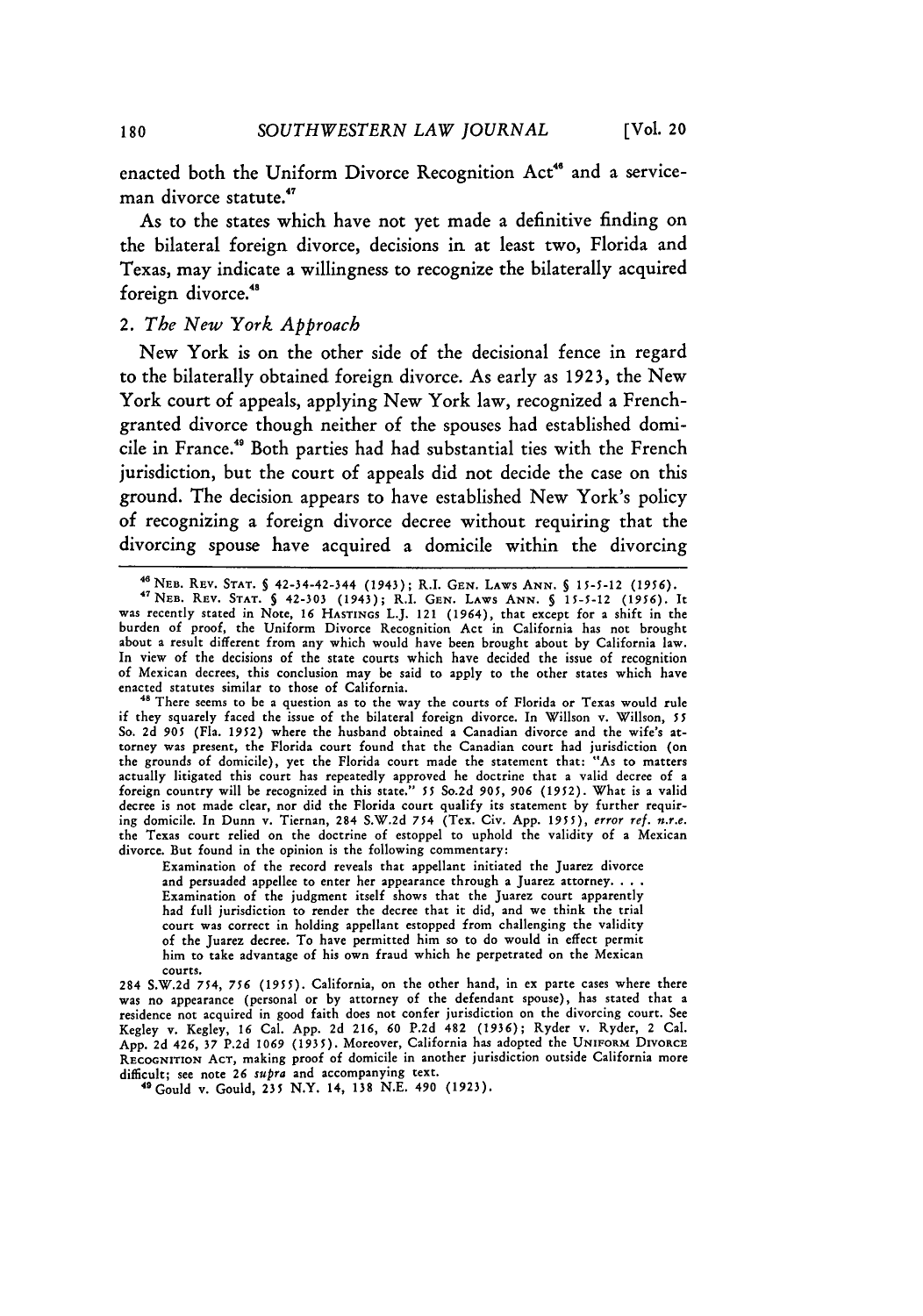enacted both the Uniform Divorce Recognition Act<sup>46</sup> and a serviceman divorce statute.

As to the states which have not yet made a definitive finding on the bilateral foreign divorce, decisions in at least two, Florida and Texas, may indicate a willingness to recognize the bilaterally acquired foreign divorce.<sup>48</sup>

### *2. The New York Approach*

New York is on the other side of the decisional fence in regard to the bilaterally obtained foreign divorce. As early as **1923,** the New York court of appeals, applying New York law, recognized a Frenchgranted divorce though neither of the spouses had established domicile in France.<sup>49</sup> Both parties had had substantial ties with the French jurisdiction, but the court of appeals did not decide the case on this ground. The decision appears to have established New York's policy of recognizing a foreign divorce decree without requiring that the divorcing spouse have acquired a domicile within the divorcing

Examination of the record reveals that appellant initiated the Juarez divorce and persuaded appellee to enter her appearance through a Juarez attorney. . . . Examination of the judgment itself shows that the Juarez court apparently had full jurisdiction to render the decree that it did, and we think the trial court was correct in holding appellant estopped from challenging the validity **of** the Juarez decree. To have permitted him so to do would in effect permit him to take advantage of his own fraud which he perpetrated on the Mexican **courts.**

284 S.W.2d 754, *756* **(1955).** California, on the other hand, in ex parte cases where there **was** no appearance (personal or by attorney of the defendant spouse), has stated that a residence not acquired in good faith does not confer jurisdiction on the divorcing court. See Kegley v. Kegley, **16** Cal. App. 2d **216, 60** P.2d 482 **(1936);** Ryder v. Ryder, 2 Cal. App. 2d 426, **37** P.2d **1069** (1935). Moreover, California has adopted the **UNIFORM** DIVORCE **RECOGNITION ACT,** making proof of domicile in another jurisdiction outside California more difficult; **see** note **26** *supra* and accompanying text.

"Gould v. Gould, **235** N.Y. 14, **138** N.E. 490 (1923).

<sup>46</sup> NEB. REV. STAT. **§** 42-34-42-344 (1943); R.I. GEN. LAWs ANN. **§** *15-5-12* **(1956).** <sup>4</sup>

<sup>&#</sup>x27;NEB. REV. **STAT. §** 42-303 (1943); R.I. **GEN.** LAWS **ANN.** *§* **15-5-12 (1956).** It was recently stated in Note, **16** HASTINGS L.J. 121 (1964), that except for a shift in the burden of proof, the Uniform Divorce Recognition Act in California has not brought about a result different from any which would have been brought about by California law. In view of the decisions of the state courts which have decided the issue of recognition of Mexican decrees, this conclusion may be said to apply to the other states which have enacted statutes similar to those of California.

**<sup>&</sup>quot;** There seems to be a question as to the way the courts of Florida or Texas would rule if they squarely faced the issue of the bilateral foreign divorce. In Willson v. Willson, *55* So. 2d **905** (Fla. 1952) where the husband obtained a Canadian divorce and the wife's attorney was present, the Florida court found that the Canadian court had jurisdiction **(on** the grounds of domicile), yet the Florida court made the statement that: "As to matters actually litigated this court has repeatedly approved he doctrine that a valid decree of a foreign country will be recognized in this state." *55* So.2d *905, 906* (1952). What is a valid decree is not made clear, nor did the Florida court qualify its statement by further requiring domicile. In Dunn v. Tiernan, 284 S.W.2d *754* (Tex. Civ. App. *1955), error ref. n.r.e.* the Texas court relied on the doctrine of estoppel to uphold the validity of a Mexican divorce. But found in the opinion is the following commentary: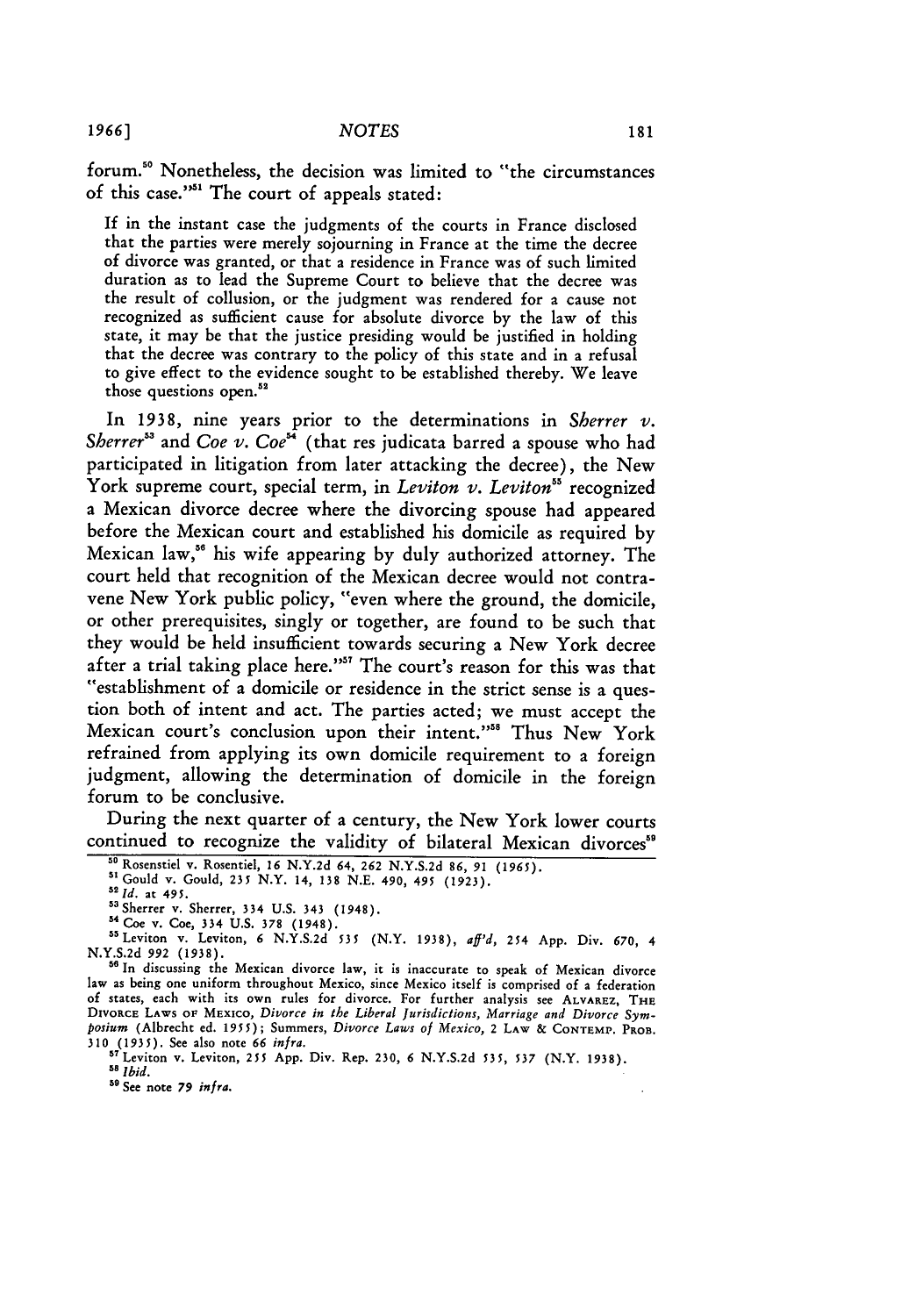forum."0 Nonetheless, the decision was limited to "the circumstances of this case."<sup>51</sup> The court of appeals stated:

If in the instant case the judgments of the courts in France disclosed that the parties were merely sojourning in France at the time the decree of divorce was granted, or that a residence in France was of such limited duration as to lead the Supreme Court to believe that the decree was the result of collusion, or the judgment was rendered for a cause not recognized as sufficient cause for absolute divorce by the law of this state, it may be that the justice presiding would be justified in holding that the decree was contrary to the policy of this state and in a refusal to give effect to the evidence sought to be established thereby. We leave those questions open.<sup>52</sup>

In **1938,** nine years prior to the determinations in *Sherrer v. Sherrer"* and *Coe v. Coe"* (that res judicata barred a spouse who had participated in litigation from later attacking the decree), the New York supreme court, special term, in *Leviton v. Leviton*<sup>55</sup> recognized a Mexican divorce decree where the divorcing spouse had appeared before the Mexican court and established his domicile as required by Mexican law," his wife appearing by duly authorized attorney. The court held that recognition of the Mexican decree would not contravene New York public policy, "even where the ground, the domicile, or other prerequisites, singly or together, are found to be such that they would be held insufficient towards securing a New York decree after a trial taking place here."<sup>37</sup> The court's reason for this was that "establishment of a domicile or residence in the strict sense is a question both of intent and act. The parties acted; we must accept the Mexican court's conclusion upon their intent."<sup>55</sup> Thus New York refrained from applying its own domicile requirement to a foreign judgment, allowing the determination of domicile in the foreign forum to be conclusive.

During the next quarter of a century, the New York lower courts continued to recognize the validity of bilateral Mexican divorces"

**59** See note *79 infra.*

**<sup>&</sup>quot;o** Rosenstiel v. Rosentiel, **16** N.Y.2d 64, **262** N.Y.S.2d **86,** *91* **(1965).**

**<sup>&</sup>quot;'** Gould v. Gould, 235 N.Y. 14, 138 N.E. 490, 495 (1923). *<sup>5</sup>*

*<sup>1</sup>ld.* at 495.

<sup>53</sup> Sherrer v. Sherrer, 334 U.S. 343 (1948).

Coe v. Coe, 334 U.S. **378** (1948). <sup>5</sup> SLeviton v. Leviton, **6** N.Y.S.2d **535** (N.Y. 1938), *aff'd,* 254 App. Div. 670, 4 **N.Y.S.2d** *992* (1938). **<sup>51</sup>**In discussing the Mexican divorce law, it is inaccurate to speak of Mexican divorce

law as being one uniform throughout Mexico, since Mexico itself is comprised of a federation of states, each with its own rules for divorce. For further analysis see ALVAREZ, THE DIVORCE **LAWS OF** MExIco, *Divorce in the Liberal jurisdictions, Marriage and Divorce Symposium* (Albrecht ed. *1955);* Summers, *Divorce Laws of Mexico,* 2 LAW & **CONTEMv. PROB. <sup>310</sup>**(1935). See also note *66 infra.* <sup>57</sup> Leviton v. Leviton, **255** App. Div. Rep. 230, **6** N.Y.S.2d 535, **537** (N.Y. 1938).

**<sup>5</sup>s** *Ibid.*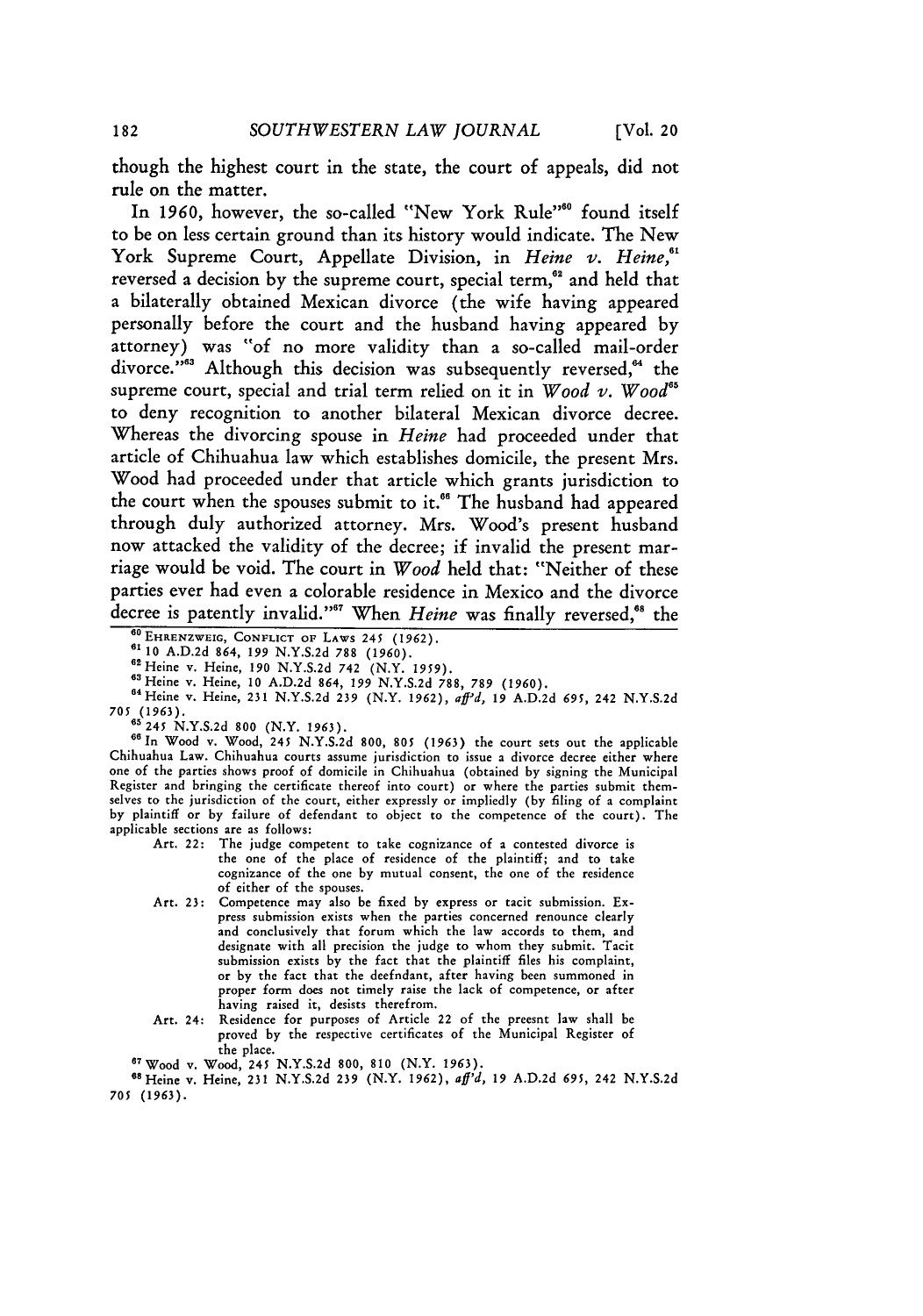though the highest court in the state, the court of appeals, did not rule on the matter.

In 1960, however, the so-called "New York Rule"<sup>60</sup> found itself to be on less certain ground than its history would indicate. The New York Supreme Court, Appellate Division, in *Heine v. Heine,'* reversed a decision by the supreme court, special term,<sup>62</sup> and held that a bilaterally obtained Mexican divorce (the wife having appeared personally before the court and the husband having appeared **by** attorney) was **"of** no more validity than a so-called mail-order divorce."<sup>63</sup> Although this decision was subsequently reversed,<sup>64</sup> the supreme court, special and trial term relied on it in *Wood v. Wood"5* to deny recognition to another bilateral Mexican divorce decree. Whereas the divorcing spouse in *Heine* had proceeded under that article of Chihuahua law which establishes domicile, the present Mrs. Wood had proceeded under that article which grants jurisdiction to the court when the spouses submit to it.<sup>66</sup> The husband had appeared through duly authorized attorney. Mrs. Wood's present husband now attacked the validity of the decree; if invalid the present marriage would be void. The court in *Wood* held that: "Neither of these parties ever had even a colorable residence in Mexico and the divorce decree is patently invalid."<sup>67</sup> When *Heine* was finally reversed,<sup>68</sup> the

**60 EHRENZWEIG, CONFLICT OF LAWS** 245 **(1962). 6' 10** A.D.2d 864, *199* N.Y.S.2d 788 **(1960).**

63Heine v. Heine, **10** A.D.2d 864, *199* N.Y.S.2d 788, **789 (1960).** <sup>6</sup> <sup>4</sup> Heine v. Heine, 231 N.Y.S.2d **239** (N.Y. 1962), afd, *19* A.D.2d **695,** 242 N.Y.S.2d <sup>64</sup> Heine v. Heine, 231 N.Y.S.2d 239 (N.Y. 1962), *aff<sup>3</sup>d*, 19 A.D.2d 695, 242 N.Y.S.2d<br>705 (1963).<br><sup>85</sup> 244 N.Y.S.2d 889 (N.Y. 1962).

**65** 245 N.Y.S.2d **800** (N.Y. 1963).

**66In** Wood v. Wood, 245 N.Y.S.2d **800, 805** (1963) the court sets out the applicable Chihuahua Law. Chihuahua courts assume jurisdiction to issue a divorce decree either where one of the parties shows proof of domicile in Chihuahua (obtained by signing the Municipal Register and bringing the certificate thereof into court) or where the parties submit themselves to the jurisdiction of the court, either expressly or impliedly (by filing of a complaint by plaintiff or by failure of defendant to object to the competence of the court). The applicable sections are as follows:

- Art. 22: The judge competent to take cognizance of a contested divorce is the one of the place of residence of the plaintiff; and to take cognizance of the one by mutual consent, the one of the residence **of** either of the spouses.
- Art. **23:** Competence may also be fixed by express or tacit submission. Express submission exists when the parties concerned renounce clearly and conclusively that forum which the law accords to them, and designate with all precision the judge to whom they submit. Tacit submission exists by the fact that the plaintiff files his complaint, or by the fact that the deefndant, after having been summoned in proper form does not timely raise the lack of competence, or after having raised it, desists therefrom.
- Art. 24: Residence for purposes of Article 22 of the preesnt law shall be proved by the respective certificates of the Municipal Register of the place.

**<sup>67</sup>**Wood v. Wood, 245 N.Y.S.2d **800, 810** (N.Y. 1963).

"SHeine v. Heine, 231 N.Y.S.2d **239** (N.Y. 1962), aff'd, **19** A.D.2d **695,** 242 N.Y.S.2d **705** (1963).

<sup>62</sup>Heine v. Heine, **190** N.Y.S.2d 742 (N.Y. *1959).*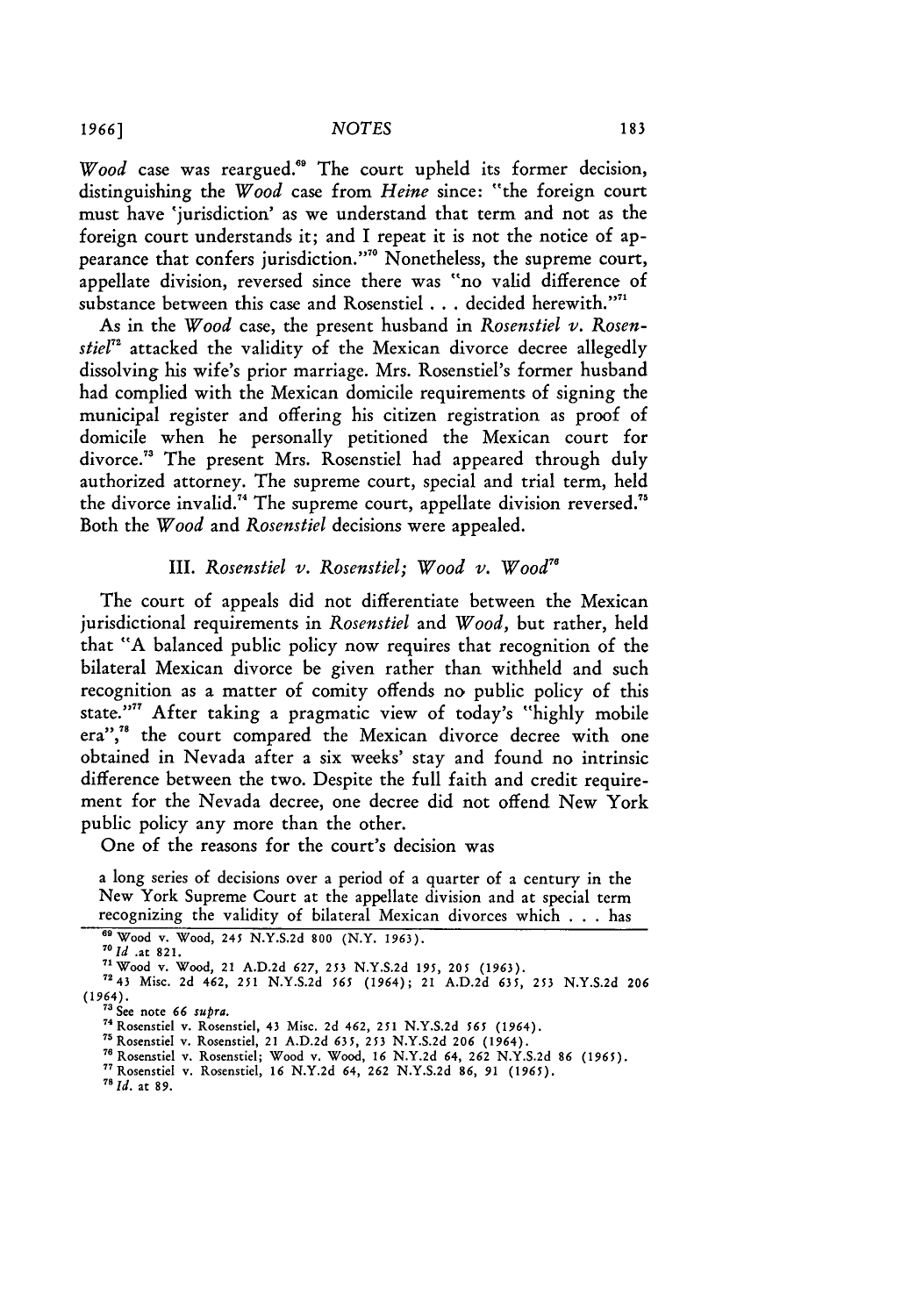*Wood* case was reargued."' The court upheld its former decision, distinguishing the *Wood* case from *Heine* since: "the foreign court must have 'jurisdiction' as we understand that term and not as the foreign court understands it; and I repeat it is not the notice of appearance that confers jurisdiction."7 Nonetheless, the supreme court, appellate division, reversed since there was "no valid difference of substance between this case and Rosenstiel . . . decided herewith."<sup>11</sup>

As in the *Wood* case, the present husband in *Rosenstiel v. Rosenstiel*<sup>"</sup> attacked the validity of the Mexican divorce decree allegedly dissolving his wife's prior marriage. Mrs. Rosenstiel's former husband had complied with the Mexican domicile requirements of signing the municipal register and offering his citizen registration as proof of domicile when he personally petitioned the Mexican court for divorce.<sup>73</sup> The present Mrs. Rosenstiel had appeared through duly authorized attorney. The supreme court, special and trial term, held the divorce invalid.<sup>74</sup> The supreme court, appellate division reversed.<sup>75</sup> Both the *Wood* and *Rosenstiel* decisions were appealed.

# III. *Rosenstiel v. Rosenstiel; Wood v. Wood"8*

The court of appeals did not differentiate between the Mexican jurisdictional requirements in *Rosenstiel* and *Wood,* but rather, held that "A balanced public policy now requires that recognition of the bilateral Mexican divorce be given rather than withheld and such recognition as a matter of comity offends no public policy of this state."" After taking a pragmatic view of today's "highly mobile era",<sup>78</sup> the court compared the Mexican divorce decree with one obtained in Nevada after a six weeks' stay and found no intrinsic difference between the two. Despite the full faith and credit requirement for the Nevada decree, one decree did not offend New York public policy any more than the other.

One of the reasons for the court's decision was

a long series of decisions over a period of a quarter of a century in the New York Supreme Court at the appellate division and at special term recognizing the validity of bilateral Mexican divorces which . . . has

*id.* at **89.**

**<sup>69</sup>** *<sup>7</sup>* Wood **v.** Wood, *245* **N.Y.S.2d** 800 (N.Y. 1963). *<sup>0</sup>*

*Id* at 821. 71Wood v. Wood, **21 A.D.2d 627, 253** N.Y.S.2d **195, 205 (1963). <sup>7243</sup>**Misc. 2d 462, **251** N.Y.S.2d **565** (1964); **21 A.D.2d 635, 253 N.Y.S.2d 206**  $(1964)$ .<br><sup>73</sup> See note 66 supra.

**<sup>&</sup>quot;'** See note **66** supra. 74Rosenstiel v. Rosenstiel, **43** Misc. 2d 462, **251** N.Y.S.2d *565* (1964).

<sup>7</sup> Rosenstiel v. Rosenstiel, 21 A.D.2d *635,* 253 N.Y.S.2d 206 (1964).

<sup>76</sup> Rosenstiel v. Rosenstiel; Wood v. Wood, 16 N.Y.2d 64, 262 N.Y.S.2d 86 (1965).<br><sup>77</sup> Rosenstiel v. Rosenstiel, 16 N.Y.2d 64, 262 N.Y.S.2d 86, 91 (1965).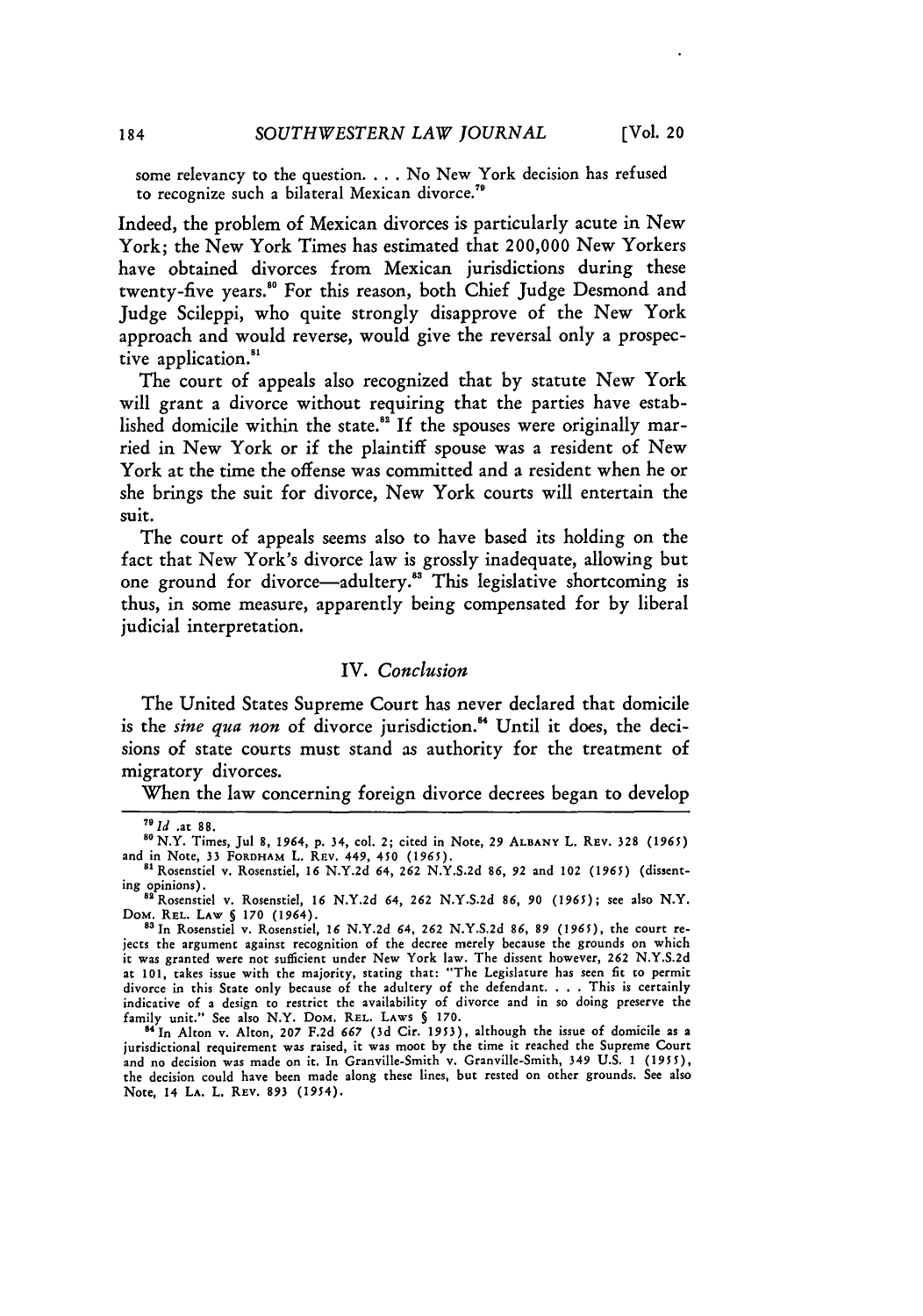some relevancy to the question **....** No New York decision has refused to recognize such a bilateral Mexican **divorce."**

Indeed, the problem of Mexican divorces is particularly acute in New York; the New York Times has estimated that 200,000 New Yorkers have obtained divorces from Mexican jurisdictions during these twenty-five years.<sup>80</sup> For this reason, both Chief Judge Desmond and Judge Scileppi, who quite strongly disapprove of the New York approach and would reverse, would give the reversal only a prospective application.<sup>81</sup>

The court of appeals also recognized that **by** statute New York will grant a divorce without requiring that the parties have established domicile within the state.<sup>82</sup> If the spouses were originally married in New York or if the plaintiff spouse was a resident of New York at the time the offense was committed and a resident when he or she brings the suit for divorce, New York courts will entertain the suit.

The court of appeals seems also to have based its holding on the fact that New York's divorce law is grossly inadequate, allowing but one ground for divorce—adultery.<sup>83</sup> This legislative shortcoming is thus, in some measure, apparently being compensated for **by** liberal judicial interpretation.

## IV. *Conclusion*

The United States Supreme Court has never declared that domicile is the *sine qua non* of divorce jurisdiction." Until it does, the decisions of state courts must stand as authority for the treatment of migratory divorces.

When the law concerning foreign divorce decrees began to develop

*<sup>7 1</sup>d ,at* **88.**

**s8** N.Y. Times, Jul 8, *1964,* p. 34, col. 2; cited in Note, 29 **ALBANY** L. REV. 328 (1965) and in Note, **33** FORDHAM L. REv. 449, 450 (1965). 81Rosenstiel v. Rosenstiel, **16** N.Y.2d 64, **262** N.Y.S.2d 86, 92 and 102 (1965) (dissent-

ing opinions). 82Rosenstiel v. Rosenstiel, **16** N.Y.2d 64, **262** N.Y.S.2d **86,** *90* (1965); see also N.Y.

DoM. REL. LAW **§** *170* (1964). 8"In Rosenstiel v. Rosenstiel, **16** N.Y.2d 64, **262** N.Y.S.2d *86, 89* (1965), the court re-

jects the argument against recognition **of** the decree merely because the grounds **on** which it was granted were **not** sufficient under New York law. The dissent however, **262** N.Y.S.2d at **101,** takes issue with the majority, stating that: "The Legislature has seen fit **to** permit divorce in this State only because **of** the adultery of the defendant. **. . .** This is certainly indicative **of** a design to restrict the availability **of** divorce and in **so** doing preserve the

family unit." See also N.Y. DoM. **REL.** LAWS § 170. **84In** Alton v. Alton, 207 F.2d *667* (3d Cir. **1953),** although the issue of domicile as a jurisdictional requirement was raised, it was moot **by** the time it reached the Supreme Court and no decision was made on it. In Granville-Smith v. Granville-Smith, 349 U.S. 1 *(1955),* the decision could have been made along these lines, but rested on other grounds. See also **Note,** 14 **LA.** L. REV. 893 (1954).